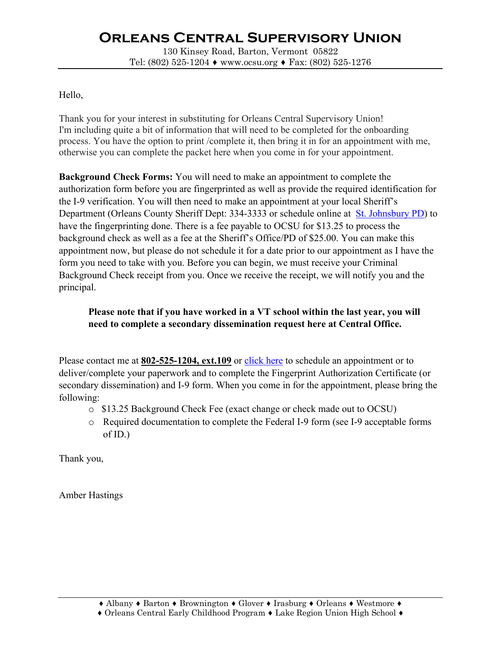# **Orleans Central Supervisory Union**

130 Kinsey Road, Barton, Vermont 05822 Tel: (802) 525-1204 ♦ www.ocsu.org ♦ Fax: (802) 525-1276

### Hello,

Thank you for your interest in substituting for Orleans Central Supervisory Union! I'm including quite a bit of information that will need to be completed for the onboarding process. You have the option to print /complete it, then bring it in for an appointment with me, otherwise you can complete the packet here when you come in for your appointment.

**Background Check Forms:** You will need to make an appointment to complete the authorization form before you are fingerprinted as well as provide the required identification for the I-9 verification. You will then need to make an appointment at your local Sheriff's Department (Orleans County Sheriff Dept: 334-3333 or schedule online at St. Johnsbury PD) to have the fingerprinting done. There is a fee payable to OCSU for \$13.25 to process the background check as well as a fee at the Sheriff's Office/PD of \$25.00. You can make this appointment now, but please do not schedule it for a date prior to our appointment as I have the form you need to take with you. Before you can begin, we must receive your Criminal Background Check receipt from you. Once we receive the receipt, we will notify you and the principal.

### **Please note that if you have worked in a VT school within the last year, you will need to complete a secondary dissemination request here at Central Office.**

Please contact me at **802-525-1204, ext.109** or click here to schedule an appointment or to deliver/complete your paperwork and to complete the Fingerprint Authorization Certificate (or secondary dissemination) and I-9 form. When you come in for the appointment, please bring the following:

- o \$13.25 Background Check Fee (exact change or check made out to OCSU)
- o Required documentation to complete the Federal I-9 form (see I-9 acceptable forms of ID.)

Thank you,

Amber Hastings

<sup>♦</sup> Albany ♦ Barton ♦ Brownington ♦ Glover ♦ Irasburg ♦ Orleans ♦ Westmore ♦

<sup>♦</sup> Orleans Central Early Childhood Program ♦ Lake Region Union High School ♦